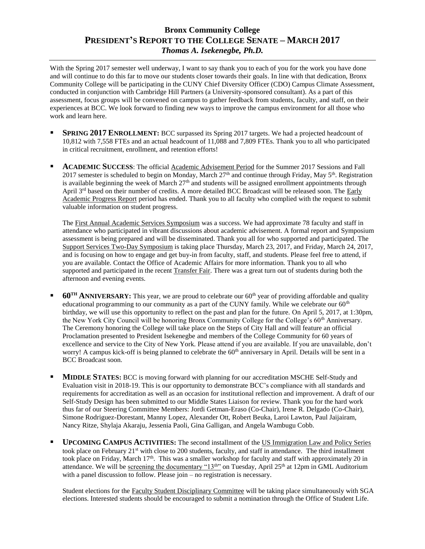## **Bronx Community College PRESIDENT'S REPORT TO THE COLLEGE SENATE – MARCH 2017** *Thomas A. Isekenegbe, Ph.D.*

With the Spring 2017 semester well underway, I want to say thank you to each of you for the work you have done and will continue to do this far to move our students closer towards their goals. In line with that dedication, Bronx Community College will be participating in the CUNY Chief Diversity Officer (CDO) Campus Climate Assessment, conducted in conjunction with Cambridge Hill Partners (a University-sponsored consultant). As a part of this assessment, focus groups will be convened on campus to gather feedback from students, faculty, and staff, on their experiences at BCC. We look forward to finding new ways to improve the campus environment for all those who work and learn here.

- **SPRING 2017 ENROLLMENT:** BCC surpassed its Spring 2017 targets. We had a projected headcount of 10,812 with 7,558 FTEs and an actual headcount of 11,088 and 7,809 FTEs. Thank you to all who participated in critical recruitment, enrollment, and retention efforts!
- **ACADEMIC SUCCESS**: The official Academic Advisement Period for the Summer 2017 Sessions and Fall 2017 semester is scheduled to begin on Monday, March  $27<sup>th</sup>$  and continue through Friday, May  $5<sup>th</sup>$ . Registration is available beginning the week of March  $27<sup>th</sup>$  and students will be assigned enrollment appointments through [April](x-apple-data-detectors://2/) 3<sup>[rd](x-apple-data-detectors://2/)</sup> based on their number of credits. A more detailed BCC Broadcast will be released soon. The Early Academic Progress Report period has ended. Thank you to all faculty who complied with the request to submit valuable information on student progress.

The First Annual Academic Services Symposium was a success. We had approximate 78 faculty and staff in attendance who participated in vibrant discussions about academic advisement. A formal report and Symposium assessment is being prepared and will be disseminated. Thank you all for who supported and participated. The Support Services Two-Day Symposium is taking place Thursday, March 23, 2017, and Friday, March 24, 2017, and is focusing on how to engage and get buy-in from faculty, staff, and students. Please feel free to attend, if you are available. Contact the Office of Academic Affairs for more information. Thank you to all who supported and participated in the recent Transfer Fair. There was a great turn out of students during both the afternoon and evening events.

- **60TH ANNIVERSARY:** This year, we are proud to celebrate our 60th year of providing affordable and quality educational programming to our community as a part of the CUNY family. While we celebrate our  $60<sup>th</sup>$ birthday, we will use this opportunity to reflect on the past and plan for the future. On April 5, 2017, at 1:30pm, the New York City Council will be honoring Bronx Community College for the College's 60<sup>th</sup> Anniversary. The Ceremony honoring the College will take place on the Steps of City Hall and will feature an official Proclamation presented to President Isekenegbe and members of the College Community for 60 years of excellence and service to the City of New York. Please attend if you are available. If you are unavailable, don't worry! A campus kick-off is being planned to celebrate the  $60<sup>th</sup>$  anniversary in April. Details will be sent in a BCC Broadcast soon.
- **MIDDLE STATES:** BCC is moving forward with planning for our accreditation MSCHE Self-Study and Evaluation visit in 2018-19. This is our opportunity to demonstrate BCC's compliance with all standards and requirements for accreditation as well as an occasion for institutional reflection and improvement. A draft of our Self-Study Design has been submitted to our Middle States Liaison for review. Thank you for the hard work thus far of our Steering Committee Members: Jordi Getman-Eraso (Co-Chair), Irene R. Delgado (Co-Chair), Simone Rodriguez-Dorestant, Manny Lopez, Alexander Ott, Robert Beuka, Laroi Lawton, Paul Jaijairam, Nancy Ritze, Shylaja Akaraju, Jessenia Paoli, Gina Galligan, and Angela Wambugu Cobb.
- **UPCOMING CAMPUS ACTIVITIES:** The second installment of the US Immigration Law and Policy Series took place on February 21<sup>st</sup> with close to 200 students, faculty, and staff in attendance. The third installment took place on Friday, March 17<sup>th</sup>. This was a smaller workshop for faculty and staff with approximately 20 in attendance. We will be <u>screening the documentary "13<sup>th</sup>"</u> on Tuesday, April 25<sup>th</sup> at 12pm in GML Auditorium with a panel discussion to follow. Please join – no registration is necessary.

Student elections for the Faculty Student Disciplinary Committee will be taking place simultaneously with SGA elections. Interested students should be encouraged to submit a nomination through the Office of Student Life.